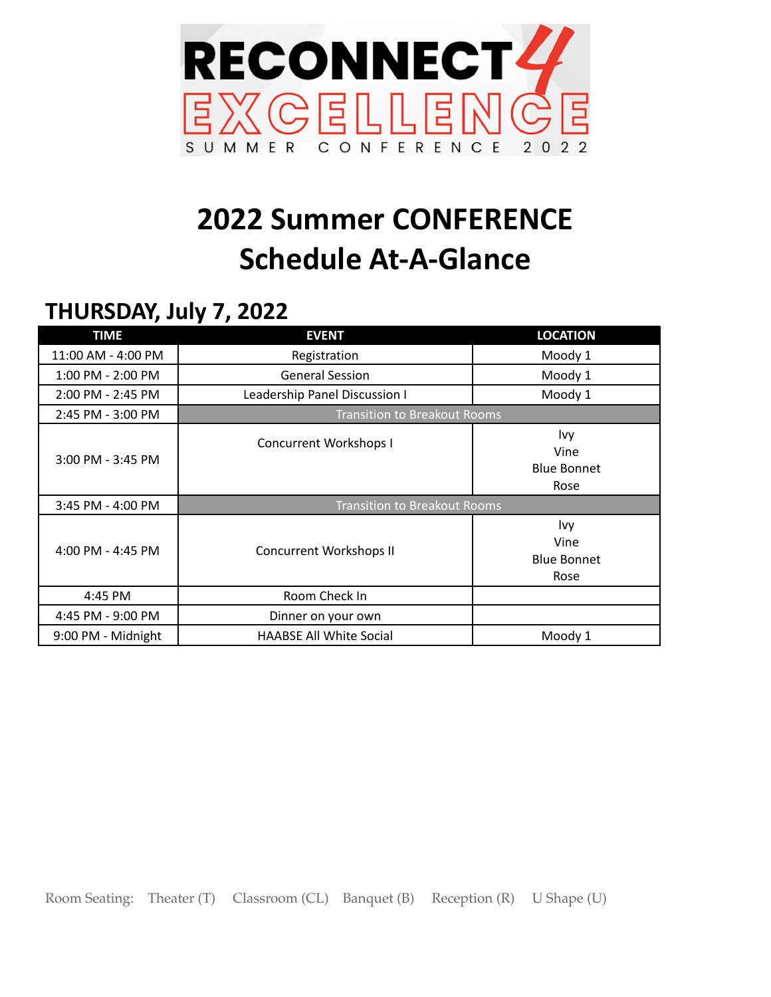

## **2022 Summer CONFERENCE Schedule At-A-Glance**

## **THURSDAY, July 7, 2022**

| <b>TIME</b>           | <b>EVENT</b>                        | <b>LOCATION</b>                           |
|-----------------------|-------------------------------------|-------------------------------------------|
| 11:00 AM - 4:00 PM    | Registration                        | Moody 1                                   |
| 1:00 PM - 2:00 PM     | <b>General Session</b>              | Moody 1                                   |
| 2:00 PM - 2:45 PM     | Leadership Panel Discussion I       | Moody 1                                   |
| 2:45 PM - 3:00 PM     | <b>Transition to Breakout Rooms</b> |                                           |
| $3:00$ PM - $3:45$ PM | <b>Concurrent Workshops I</b>       | Ivy<br>Vine<br><b>Blue Bonnet</b><br>Rose |
| $3:45$ PM - 4:00 PM   | <b>Transition to Breakout Rooms</b> |                                           |
| 4:00 PM - 4:45 PM     | <b>Concurrent Workshops II</b>      | Ivy<br>Vine<br><b>Blue Bonnet</b><br>Rose |
| 4:45 PM               | Room Check In                       |                                           |
| 4:45 PM - 9:00 PM     | Dinner on your own                  |                                           |
| 9:00 PM - Midnight    | <b>HAABSE All White Social</b>      | Moody 1                                   |